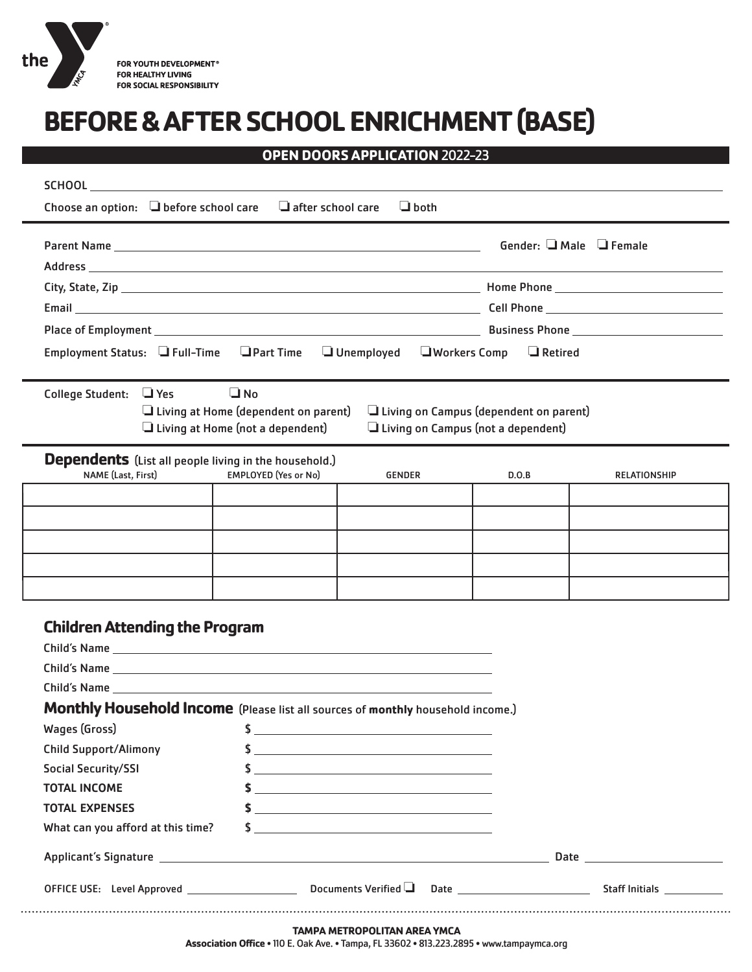

# **BEFORE & AFTER SCHOOL ENRICHMENT (BASE)**

# **OPEN DOORS APPLICATION** 2022-23

|                                                                                        |                                                          |                                                                                                                                                                                                                                                                                                                     |                                           | Gender: $\Box$ Male $\Box$ Female |
|----------------------------------------------------------------------------------------|----------------------------------------------------------|---------------------------------------------------------------------------------------------------------------------------------------------------------------------------------------------------------------------------------------------------------------------------------------------------------------------|-------------------------------------------|-----------------------------------|
|                                                                                        |                                                          |                                                                                                                                                                                                                                                                                                                     |                                           |                                   |
|                                                                                        |                                                          | $\Box$ Retired                                                                                                                                                                                                                                                                                                      |                                           |                                   |
|                                                                                        |                                                          |                                                                                                                                                                                                                                                                                                                     |                                           |                                   |
|                                                                                        |                                                          |                                                                                                                                                                                                                                                                                                                     |                                           |                                   |
| Employment Status: □ Full-Time □ Part Time □ Unemployed □ Workers Comp                 |                                                          |                                                                                                                                                                                                                                                                                                                     |                                           |                                   |
| College Student: □ Yes                                                                 | $\Box$ No<br>$\Box$ Living at Home (dependent on parent) |                                                                                                                                                                                                                                                                                                                     | Living on Campus (dependent on parent)    |                                   |
|                                                                                        | $\Box$ Living at Home (not a dependent)                  |                                                                                                                                                                                                                                                                                                                     | $\Box$ Living on Campus (not a dependent) |                                   |
| <b>Dependents</b> (List all people living in the household.)                           |                                                          |                                                                                                                                                                                                                                                                                                                     |                                           |                                   |
| NAME (Last, First)                                                                     | <b>EMPLOYED</b> (Yes or No)                              | <b>GENDER</b>                                                                                                                                                                                                                                                                                                       | D.O.B                                     | <b>RELATIONSHIP</b>               |
|                                                                                        |                                                          |                                                                                                                                                                                                                                                                                                                     |                                           |                                   |
|                                                                                        |                                                          |                                                                                                                                                                                                                                                                                                                     |                                           |                                   |
|                                                                                        |                                                          |                                                                                                                                                                                                                                                                                                                     |                                           |                                   |
|                                                                                        |                                                          |                                                                                                                                                                                                                                                                                                                     |                                           |                                   |
|                                                                                        |                                                          |                                                                                                                                                                                                                                                                                                                     |                                           |                                   |
|                                                                                        |                                                          |                                                                                                                                                                                                                                                                                                                     |                                           |                                   |
| <b>Children Attending the Program</b>                                                  |                                                          |                                                                                                                                                                                                                                                                                                                     |                                           |                                   |
|                                                                                        |                                                          |                                                                                                                                                                                                                                                                                                                     |                                           |                                   |
|                                                                                        |                                                          |                                                                                                                                                                                                                                                                                                                     |                                           |                                   |
|                                                                                        |                                                          |                                                                                                                                                                                                                                                                                                                     |                                           |                                   |
| <b>Monthly Household Income</b> (Please list all sources of monthly household income.) |                                                          |                                                                                                                                                                                                                                                                                                                     |                                           |                                   |
| Wages (Gross) $\qquad \qquad$ $\qquad \qquad$ $\qquad \qquad$                          |                                                          |                                                                                                                                                                                                                                                                                                                     |                                           |                                   |
| <b>Child Support/Alimony</b>                                                           |                                                          |                                                                                                                                                                                                                                                                                                                     |                                           |                                   |
| Social Security/SSI                                                                    |                                                          | $$ \_$                                                                                                                                                                                                                                                                                                              |                                           |                                   |
| <b>TOTAL INCOME</b>                                                                    |                                                          |                                                                                                                                                                                                                                                                                                                     |                                           |                                   |
| <b>TOTAL EXPENSES</b>                                                                  |                                                          |                                                                                                                                                                                                                                                                                                                     |                                           |                                   |
| What can you afford at this time?                                                      |                                                          | $\frac{1}{2}$ $\frac{1}{2}$ $\frac{1}{2}$ $\frac{1}{2}$ $\frac{1}{2}$ $\frac{1}{2}$ $\frac{1}{2}$ $\frac{1}{2}$ $\frac{1}{2}$ $\frac{1}{2}$ $\frac{1}{2}$ $\frac{1}{2}$ $\frac{1}{2}$ $\frac{1}{2}$ $\frac{1}{2}$ $\frac{1}{2}$ $\frac{1}{2}$ $\frac{1}{2}$ $\frac{1}{2}$ $\frac{1}{2}$ $\frac{1}{2}$ $\frac{1}{2}$ |                                           |                                   |
|                                                                                        |                                                          |                                                                                                                                                                                                                                                                                                                     |                                           |                                   |
|                                                                                        |                                                          |                                                                                                                                                                                                                                                                                                                     |                                           |                                   |

**Association Office** • 110 E. Oak Ave. • Tampa, FL 33602 • 813.223.2895 • www.tampaymca.org